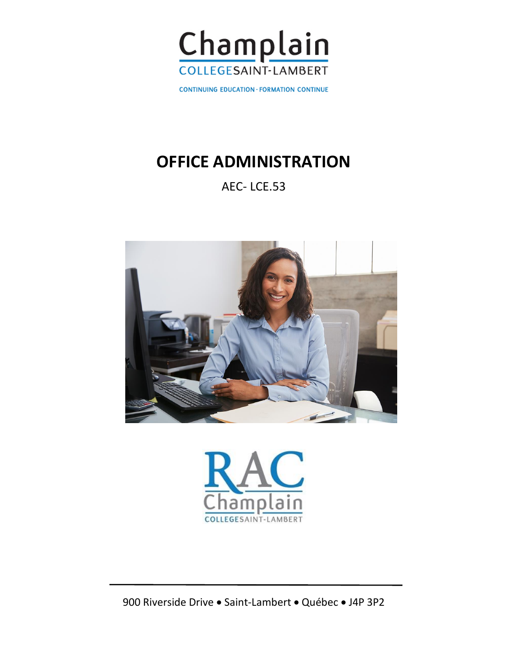

**CONTINUING EDUCATION - FORMATION CONTINUE** 

# **OFFICE ADMINISTRATION**

# AEC- LCE.53





900 Riverside Drive • Saint-Lambert • Québec • J4P 3P2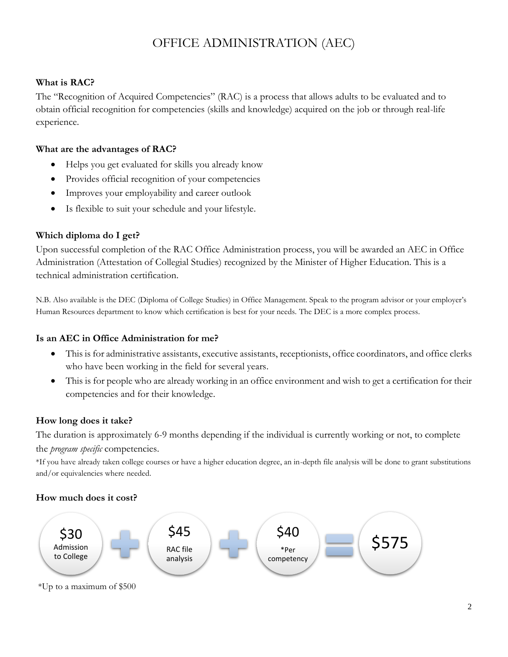# OFFICE ADMINISTRATION (AEC)

#### **What is RAC?**

The "Recognition of Acquired Competencies" (RAC) is a process that allows adults to be evaluated and to obtain official recognition for competencies (skills and knowledge) acquired on the job or through real-life experience.

#### **What are the advantages of RAC?**

- Helps you get evaluated for skills you already know
- Provides official recognition of your competencies
- Improves your employability and career outlook
- Is flexible to suit your schedule and your lifestyle.

### **Which diploma do I get?**

Upon successful completion of the RAC Office Administration process, you will be awarded an AEC in Office Administration (Attestation of Collegial Studies) recognized by the Minister of Higher Education. This is a technical administration certification.

N.B. Also available is the DEC (Diploma of College Studies) in Office Management. Speak to the program advisor or your employer's Human Resources department to know which certification is best for your needs. The DEC is a more complex process.

#### **Is an AEC in Office Administration for me?**

- This is for administrative assistants, executive assistants, receptionists, office coordinators, and office clerks who have been working in the field for several years.
- This is for people who are already working in an office environment and wish to get a certification for their competencies and for their knowledge.

#### **How long does it take?**

The duration is approximately 6-9 months depending if the individual is currently working or not, to complete the *program specific* competencies.

\*If you have already taken college courses or have a higher education degree, an in-depth file analysis will be done to grant substitutions and/or equivalencies where needed.

## **How much does it cost?**

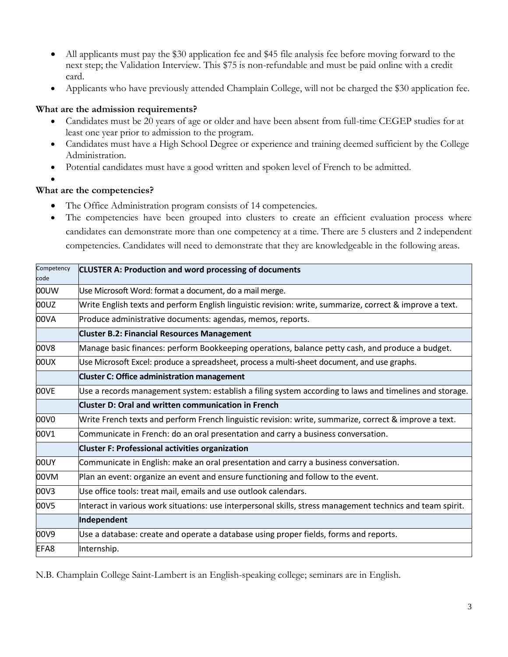- All applicants must pay the \$30 application fee and \$45 file analysis fee before moving forward to the next step; the Validation Interview. This \$75 is non-refundable and must be paid online with a credit card.
- Applicants who have previously attended Champlain College, will not be charged the \$30 application fee.

#### **What are the admission requirements?**

- Candidates must be 20 years of age or older and have been absent from full-time CEGEP studies for at least one year prior to admission to the program.
- Candidates must have a High School Degree or experience and training deemed sufficient by the College Administration.
- Potential candidates must have a good written and spoken level of French to be admitted.
- 

•

#### **What are the competencies?**

- The Office Administration program consists of 14 competencies.
- The competencies have been grouped into clusters to create an efficient evaluation process where candidates can demonstrate more than one competency at a time. There are 5 clusters and 2 independent competencies. Candidates will need to demonstrate that they are knowledgeable in the following areas.

| Competency<br>code | <b>CLUSTER A: Production and word processing of documents</b>                                              |
|--------------------|------------------------------------------------------------------------------------------------------------|
| <b>00UW</b>        | Use Microsoft Word: format a document, do a mail merge.                                                    |
| 00UZ               | Write English texts and perform English linguistic revision: write, summarize, correct & improve a text.   |
| 00VA               | Produce administrative documents: agendas, memos, reports.                                                 |
|                    | <b>Cluster B.2: Financial Resources Management</b>                                                         |
| 00V8               | Manage basic finances: perform Bookkeeping operations, balance petty cash, and produce a budget.           |
| XU00               | Use Microsoft Excel: produce a spreadsheet, process a multi-sheet document, and use graphs.                |
|                    | <b>Cluster C: Office administration management</b>                                                         |
| 00VE               | Use a records management system: establish a filing system according to laws and timelines and storage.    |
|                    | Cluster D: Oral and written communication in French                                                        |
| 00V0               | Write French texts and perform French linguistic revision: write, summarize, correct & improve a text.     |
| 00V1               | Communicate in French: do an oral presentation and carry a business conversation.                          |
|                    | <b>Cluster F: Professional activities organization</b>                                                     |
| 00UY               | Communicate in English: make an oral presentation and carry a business conversation.                       |
| 00VM               | Plan an event: organize an event and ensure functioning and follow to the event.                           |
| 00V3               | Use office tools: treat mail, emails and use outlook calendars.                                            |
| 00V5               | Interact in various work situations: use interpersonal skills, stress management technics and team spirit. |
|                    | Independent                                                                                                |
| 00V9               | Use a database: create and operate a database using proper fields, forms and reports.                      |
| EFA8               | Internship.                                                                                                |

N.B. Champlain College Saint-Lambert is an English-speaking college; seminars are in English.